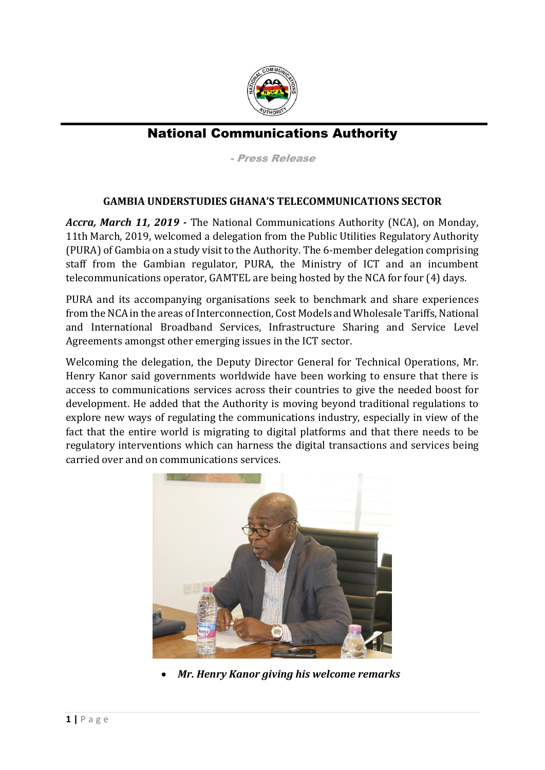

## National Communications Authority

- Press Release

## **GAMBIA UNDERSTUDIES GHANA'S TELECOMMUNICATIONS SECTOR**

*Accra, March 11, 2019 -* The National Communications Authority (NCA), on Monday, 11th March, 2019, welcomed a delegation from the Public Utilities Regulatory Authority (PURA) of Gambia on a study visit to the Authority. The 6-member delegation comprising staff from the Gambian regulator, PURA, the Ministry of ICT and an incumbent telecommunications operator, GAMTEL are being hosted by the NCA for four (4) days.

PURA and its accompanying organisations seek to benchmark and share experiences from the NCA in the areas of Interconnection, Cost Models and Wholesale Tariffs, National and International Broadband Services, Infrastructure Sharing and Service Level Agreements amongst other emerging issues in the ICT sector.

Welcoming the delegation, the Deputy Director General for Technical Operations, Mr. Henry Kanor said governments worldwide have been working to ensure that there is access to communications services across their countries to give the needed boost for development. He added that the Authority is moving beyond traditional regulations to explore new ways of regulating the communications industry, especially in view of the fact that the entire world is migrating to digital platforms and that there needs to be regulatory interventions which can harness the digital transactions and services being carried over and on communications services.



*Mr. Henry Kanor giving his welcome remarks*